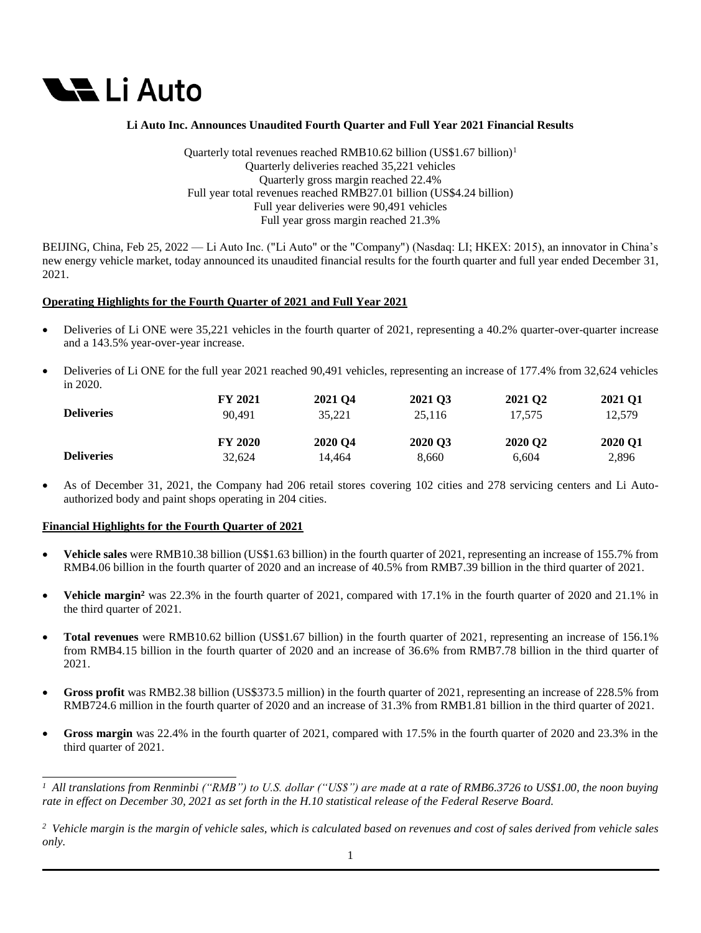

## **Li Auto Inc. Announces Unaudited Fourth Quarter and Full Year 2021 Financial Results**

Quarterly total revenues reached RMB10.62 billion (US\$1.67 billion)<sup>1</sup> Quarterly deliveries reached 35,221 vehicles Quarterly gross margin reached 22.4% Full year total revenues reached RMB27.01 billion (US\$4.24 billion) Full year deliveries were 90,491 vehicles Full year gross margin reached 21.3%

BEIJING, China, Feb 25, 2022 — Li Auto Inc. ("Li Auto" or the "Company") (Nasdaq: LI; HKEX: 2015), an innovator in China's new energy vehicle market, today announced its unaudited financial results for the fourth quarter and full year ended December 31, 2021.

### **Operating Highlights for the Fourth Quarter of 2021 and Full Year 2021**

- Deliveries of Li ONE were 35,221 vehicles in the fourth quarter of 2021, representing a 40.2% quarter-over-quarter increase and a 143.5% year-over-year increase.
- Deliveries of Li ONE for the full year 2021 reached 90,491 vehicles, representing an increase of 177.4% from 32,624 vehicles in 2020.

| <b>Deliveries</b> | <b>FY 2021</b> | 2021 O <sub>4</sub> | 2021 Q3        | <b>2021 O2</b> | 2021 O1 |
|-------------------|----------------|---------------------|----------------|----------------|---------|
|                   | 90.491         | 35.221              | 25.116         | 17.575         | 12,579  |
| <b>Deliveries</b> | <b>FY 2020</b> | 2020 O <sub>4</sub> | <b>2020 O3</b> | <b>2020 O2</b> | 2020 Q1 |
|                   | 32.624         | 14.464              | 8.660          | 6.604          | 2,896   |

• As of December 31, 2021, the Company had 206 retail stores covering 102 cities and 278 servicing centers and Li Autoauthorized body and paint shops operating in 204 cities.

#### **Financial Highlights for the Fourth Quarter of 2021**

- **Vehicle sales** were RMB10.38 billion (US\$1.63 billion) in the fourth quarter of 2021, representing an increase of 155.7% from RMB4.06 billion in the fourth quarter of 2020 and an increase of 40.5% from RMB7.39 billion in the third quarter of 2021.
- **Vehicle margin<sup>2</sup>** was 22.3% in the fourth quarter of 2021, compared with 17.1% in the fourth quarter of 2020 and 21.1% in the third quarter of 2021.
- **Total revenues** were RMB10.62 billion (US\$1.67 billion) in the fourth quarter of 2021, representing an increase of 156.1% from RMB4.15 billion in the fourth quarter of 2020 and an increase of 36.6% from RMB7.78 billion in the third quarter of 2021.
- **Gross profit** was RMB2.38 billion (US\$373.5 million) in the fourth quarter of 2021, representing an increase of 228.5% from RMB724.6 million in the fourth quarter of 2020 and an increase of 31.3% from RMB1.81 billion in the third quarter of 2021.
- **Gross margin** was 22.4% in the fourth quarter of 2021, compared with 17.5% in the fourth quarter of 2020 and 23.3% in the third quarter of 2021.

*<sup>1</sup> All translations from Renminbi ("RMB") to U.S. dollar ("US\$") are made at a rate of RMB6.3726 to US\$1.00, the noon buying rate in effect on December 30, 2021 as set forth in the H.10 statistical release of the Federal Reserve Board.*

*<sup>2</sup> Vehicle margin is the margin of vehicle sales, which is calculated based on revenues and cost of sales derived from vehicle sales only.*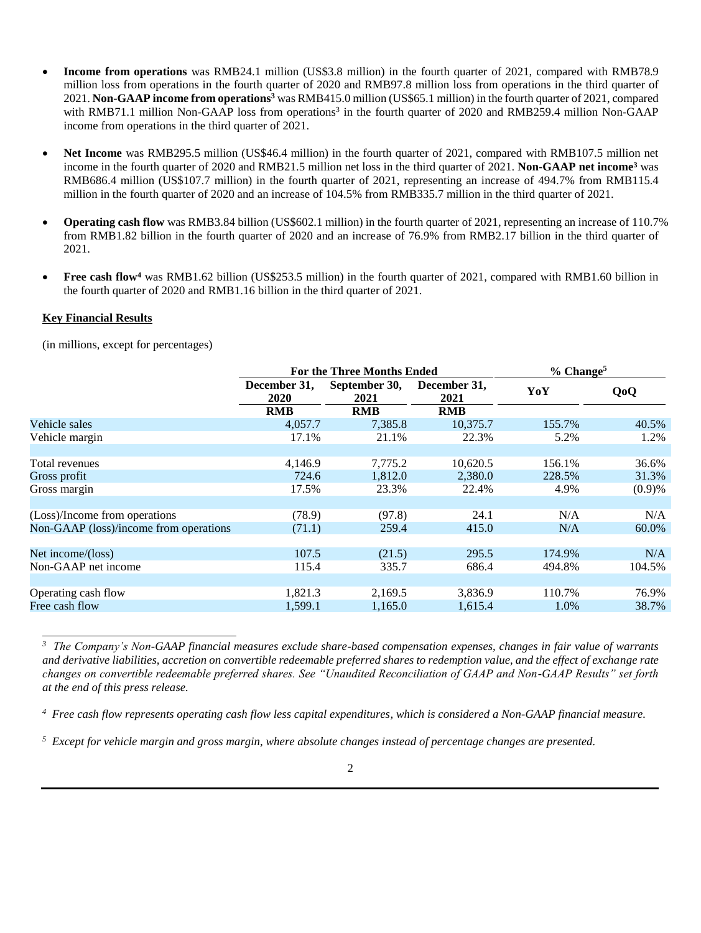- **Income from operations** was RMB24.1 million (US\$3.8 million) in the fourth quarter of 2021, compared with RMB78.9 million loss from operations in the fourth quarter of 2020 and RMB97.8 million loss from operations in the third quarter of 2021. **Non-GAAP income from operations<sup>3</sup>** was RMB415.0 million (US\$65.1 million) in the fourth quarter of 2021, compared with RMB71.1 million Non-GAAP loss from operations<sup>3</sup> in the fourth quarter of 2020 and RMB259.4 million Non-GAAP income from operations in the third quarter of 2021.
- **Net Income** was RMB295.5 million (US\$46.4 million) in the fourth quarter of 2021, compared with RMB107.5 million net income in the fourth quarter of 2020 and RMB21.5 million net loss in the third quarter of 2021. **Non-GAAP net income<sup>3</sup>** was RMB686.4 million (US\$107.7 million) in the fourth quarter of 2021, representing an increase of 494.7% from RMB115.4 million in the fourth quarter of 2020 and an increase of 104.5% from RMB335.7 million in the third quarter of 2021.
- **Operating cash flow** was RMB3.84 billion (US\$602.1 million) in the fourth quarter of 2021, representing an increase of 110.7% from RMB1.82 billion in the fourth quarter of 2020 and an increase of 76.9% from RMB2.17 billion in the third quarter of 2021.
- **Free cash flow<sup>4</sup>** was RMB1.62 billion (US\$253.5 million) in the fourth quarter of 2021, compared with RMB1.60 billion in the fourth quarter of 2020 and RMB1.16 billion in the third quarter of 2021.

### **Key Financial Results**

(in millions, except for percentages)

|                                        |                             | <b>For the Three Months Ended</b> |                      |        | $%$ Change <sup>5</sup> |  |  |
|----------------------------------------|-----------------------------|-----------------------------------|----------------------|--------|-------------------------|--|--|
|                                        | December 31,<br><b>2020</b> | September 30,<br>2021             | December 31,<br>2021 | YoY    | QoQ                     |  |  |
|                                        | RMB                         | <b>RMB</b>                        | <b>RMB</b>           |        |                         |  |  |
| Vehicle sales                          | 4,057.7                     | 7,385.8                           | 10,375.7             | 155.7% | 40.5%                   |  |  |
| Vehicle margin                         | 17.1%                       | 21.1%                             | 22.3%                | 5.2%   | 1.2%                    |  |  |
|                                        |                             |                                   |                      |        |                         |  |  |
| Total revenues                         | 4,146.9                     | 7,775.2                           | 10,620.5             | 156.1% | 36.6%                   |  |  |
| Gross profit                           | 724.6                       | 1,812.0                           | 2,380.0              | 228.5% | 31.3%                   |  |  |
| Gross margin                           | 17.5%                       | 23.3%                             | 22.4%                | 4.9%   | (0.9)%                  |  |  |
|                                        |                             |                                   |                      |        |                         |  |  |
| (Loss)/Income from operations          | (78.9)                      | (97.8)                            | 24.1                 | N/A    | N/A                     |  |  |
| Non-GAAP (loss)/income from operations | (71.1)                      | 259.4                             | 415.0                | N/A    | 60.0%                   |  |  |
|                                        |                             |                                   |                      |        |                         |  |  |
| Net income/(loss)                      | 107.5                       | (21.5)                            | 295.5                | 174.9% | N/A                     |  |  |
| Non-GAAP net income                    | 115.4                       | 335.7                             | 686.4                | 494.8% | 104.5%                  |  |  |
| Operating cash flow                    | 1,821.3                     | 2,169.5                           | 3,836.9              | 110.7% | 76.9%                   |  |  |
| Free cash flow                         | 1,599.1                     | 1,165.0                           | 1,615.4              | 1.0%   | 38.7%                   |  |  |

*<sup>3</sup> The Company's Non-GAAP financial measures exclude share-based compensation expenses, changes in fair value of warrants and derivative liabilities, accretion on convertible redeemable preferred shares to redemption value, and the effect of exchange rate changes on convertible redeemable preferred shares. See "Unaudited Reconciliation of GAAP and Non-GAAP Results" set forth at the end of this press release.*

*4 Free cash flow represents operating cash flow less capital expenditures, which is considered a Non-GAAP financial measure.*

*<sup>5</sup> Except for vehicle margin and gross margin, where absolute changes instead of percentage changes are presented.*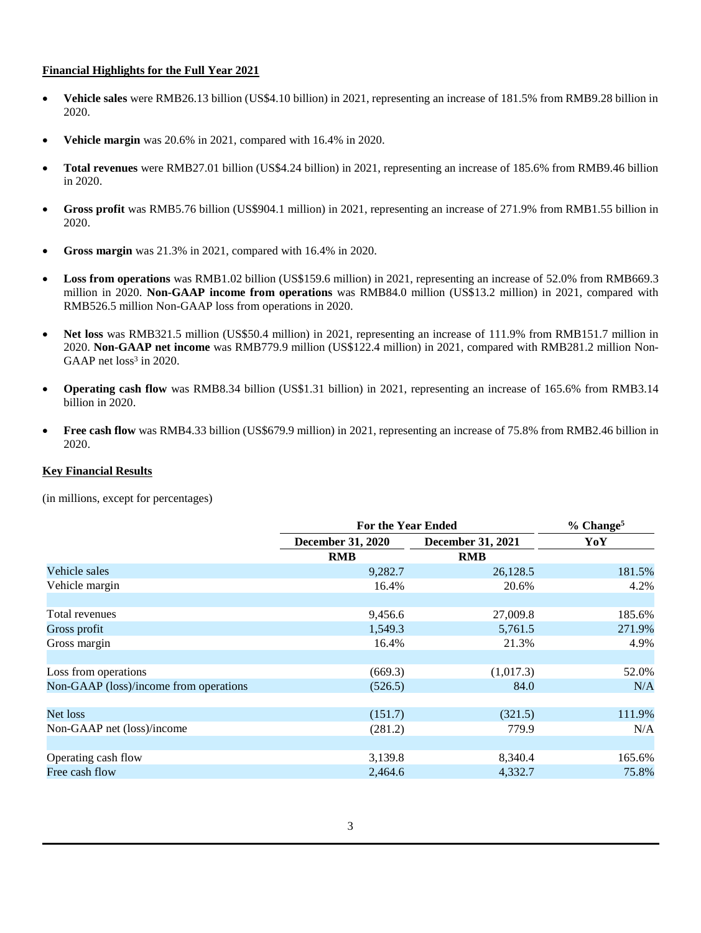#### **Financial Highlights for the Full Year 2021**

- **Vehicle sales** were RMB26.13 billion (US\$4.10 billion) in 2021, representing an increase of 181.5% from RMB9.28 billion in 2020.
- **Vehicle margin** was 20.6% in 2021, compared with 16.4% in 2020.
- **Total revenues** were RMB27.01 billion (US\$4.24 billion) in 2021, representing an increase of 185.6% from RMB9.46 billion in 2020.
- **Gross profit** was RMB5.76 billion (US\$904.1 million) in 2021, representing an increase of 271.9% from RMB1.55 billion in 2020.
- **Gross margin** was 21.3% in 2021, compared with 16.4% in 2020.
- Loss from operations was RMB1.02 billion (US\$159.6 million) in 2021, representing an increase of 52.0% from RMB669.3 million in 2020. **Non-GAAP income from operations** was RMB84.0 million (US\$13.2 million) in 2021, compared with RMB526.5 million Non-GAAP loss from operations in 2020.
- **Net loss** was RMB321.5 million (US\$50.4 million) in 2021, representing an increase of 111.9% from RMB151.7 million in 2020. **Non-GAAP net income** was RMB779.9 million (US\$122.4 million) in 2021, compared with RMB281.2 million Non-GAAP net  $loss<sup>3</sup>$  in 2020.
- **Operating cash flow** was RMB8.34 billion (US\$1.31 billion) in 2021, representing an increase of 165.6% from RMB3.14 billion in 2020.
- Free cash flow was RMB4.33 billion (US\$679.9 million) in 2021, representing an increase of 75.8% from RMB2.46 billion in 2020.

#### **Key Financial Results**

(in millions, except for percentages)

|                                        | <b>For the Year Ended</b> |                          | $%$ Change <sup>5</sup> |  |
|----------------------------------------|---------------------------|--------------------------|-------------------------|--|
|                                        | <b>December 31, 2020</b>  | <b>December 31, 2021</b> | YoY                     |  |
|                                        | <b>RMB</b>                | <b>RMB</b>               |                         |  |
| Vehicle sales                          | 9,282.7                   | 26,128.5                 | 181.5%                  |  |
| Vehicle margin                         | 16.4%                     | 20.6%                    | 4.2%                    |  |
|                                        |                           |                          |                         |  |
| Total revenues                         | 9,456.6                   | 27,009.8                 | 185.6%                  |  |
| Gross profit                           | 1,549.3                   | 5,761.5                  | 271.9%                  |  |
| Gross margin                           | 16.4%                     | 21.3%                    | 4.9%                    |  |
|                                        |                           |                          |                         |  |
| Loss from operations                   | (669.3)                   | (1,017.3)                | 52.0%                   |  |
| Non-GAAP (loss)/income from operations | (526.5)                   | 84.0                     | N/A                     |  |
|                                        |                           |                          |                         |  |
| Net loss                               | (151.7)                   | (321.5)                  | 111.9%                  |  |
| Non-GAAP net (loss)/income             | (281.2)                   | 779.9                    | N/A                     |  |
|                                        |                           |                          |                         |  |
| Operating cash flow                    | 3,139.8                   | 8,340.4                  | 165.6%                  |  |
| Free cash flow                         | 2,464.6                   | 4,332.7                  | 75.8%                   |  |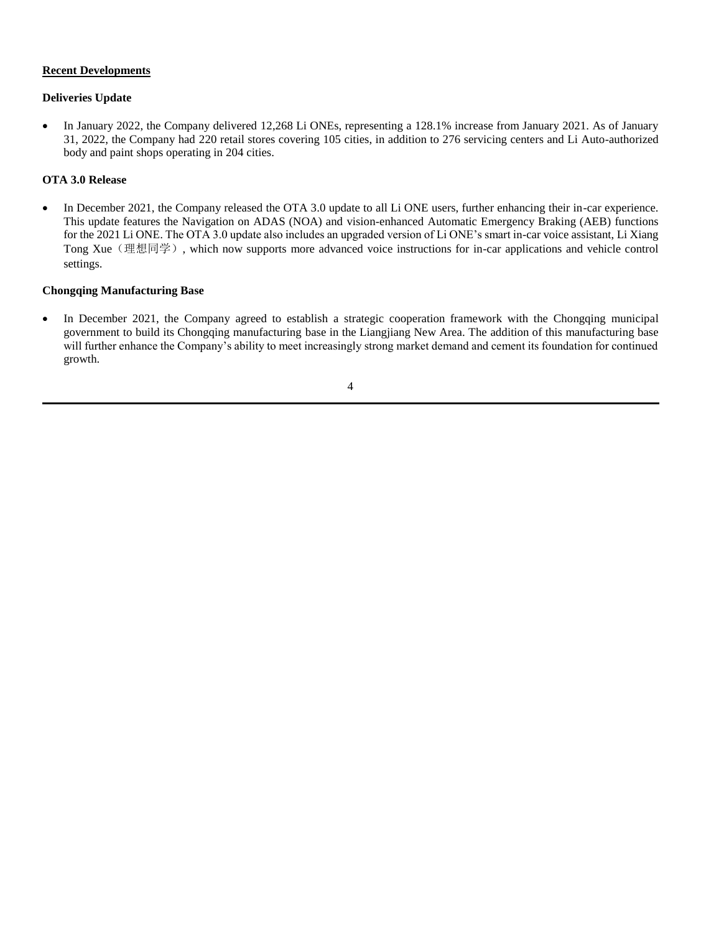## **Recent Developments**

## **Deliveries Update**

• In January 2022, the Company delivered 12,268 Li ONEs, representing a 128.1% increase from January 2021. As of January 31, 2022, the Company had 220 retail stores covering 105 cities, in addition to 276 servicing centers and Li Auto-authorized body and paint shops operating in 204 cities.

### **OTA 3.0 Release**

In December 2021, the Company released the OTA 3.0 update to all Li ONE users, further enhancing their in-car experience. This update features the Navigation on ADAS (NOA) and vision-enhanced Automatic Emergency Braking (AEB) functions for the 2021 Li ONE. The OTA 3.0 update also includes an upgraded version of Li ONE's smart in-car voice assistant, Li Xiang Tong Xue (理想同学), which now supports more advanced voice instructions for in-car applications and vehicle control settings.

### **Chongqing Manufacturing Base**

• In December 2021, the Company agreed to establish a strategic cooperation framework with the Chongqing municipal government to build its Chongqing manufacturing base in the Liangjiang New Area. The addition of this manufacturing base will further enhance the Company's ability to meet increasingly strong market demand and cement its foundation for continued growth.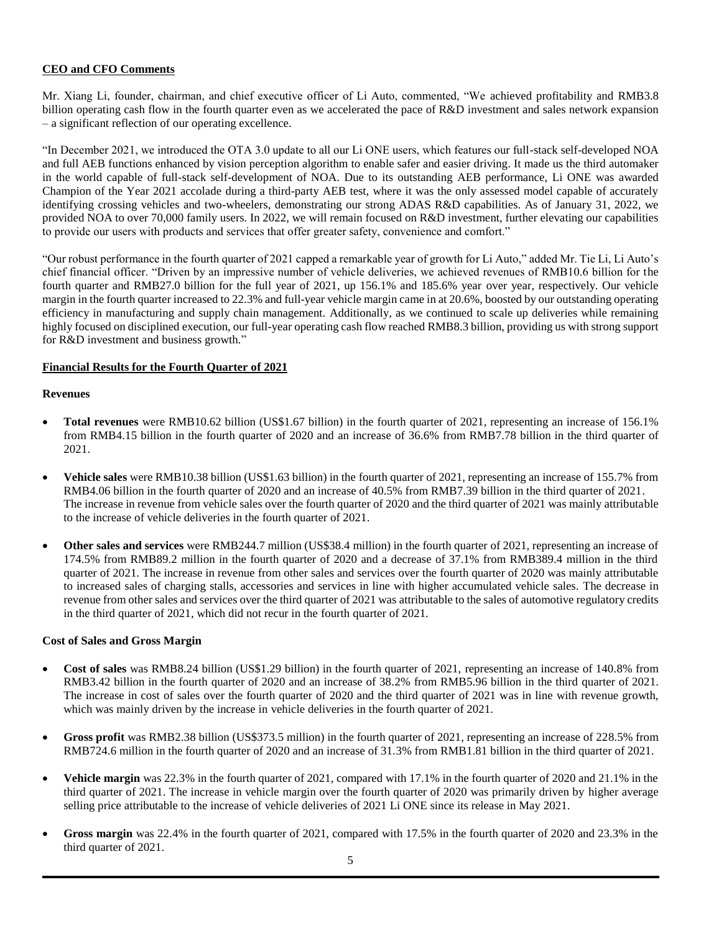## **CEO and CFO Comments**

Mr. Xiang Li, founder, chairman, and chief executive officer of Li Auto, commented, "We achieved profitability and RMB3.8 billion operating cash flow in the fourth quarter even as we accelerated the pace of R&D investment and sales network expansion – a significant reflection of our operating excellence.

"In December 2021, we introduced the OTA 3.0 update to all our Li ONE users, which features our full-stack self-developed NOA and full AEB functions enhanced by vision perception algorithm to enable safer and easier driving. It made us the third automaker in the world capable of full-stack self-development of NOA. Due to its outstanding AEB performance, Li ONE was awarded Champion of the Year 2021 accolade during a third-party AEB test, where it was the only assessed model capable of accurately identifying crossing vehicles and two-wheelers, demonstrating our strong ADAS R&D capabilities. As of January 31, 2022, we provided NOA to over 70,000 family users. In 2022, we will remain focused on R&D investment, further elevating our capabilities to provide our users with products and services that offer greater safety, convenience and comfort."

"Our robust performance in the fourth quarter of 2021 capped a remarkable year of growth for Li Auto," added Mr. Tie Li, Li Auto's chief financial officer. "Driven by an impressive number of vehicle deliveries, we achieved revenues of RMB10.6 billion for the fourth quarter and RMB27.0 billion for the full year of 2021, up 156.1% and 185.6% year over year, respectively. Our vehicle margin in the fourth quarter increased to 22.3% and full-year vehicle margin came in at 20.6%, boosted by our outstanding operating efficiency in manufacturing and supply chain management. Additionally, as we continued to scale up deliveries while remaining highly focused on disciplined execution, our full-year operating cash flow reached RMB8.3 billion, providing us with strong support for R&D investment and business growth."

### **Financial Results for the Fourth Quarter of 2021**

#### **Revenues**

- **Total revenues** were RMB10.62 billion (US\$1.67 billion) in the fourth quarter of 2021, representing an increase of 156.1% from RMB4.15 billion in the fourth quarter of 2020 and an increase of 36.6% from RMB7.78 billion in the third quarter of 2021.
- **Vehicle sales** were RMB10.38 billion (US\$1.63 billion) in the fourth quarter of 2021, representing an increase of 155.7% from RMB4.06 billion in the fourth quarter of 2020 and an increase of 40.5% from RMB7.39 billion in the third quarter of 2021. The increase in revenue from vehicle sales over the fourth quarter of 2020 and the third quarter of 2021 was mainly attributable to the increase of vehicle deliveries in the fourth quarter of 2021.
- **Other sales and services** were RMB244.7 million (US\$38.4 million) in the fourth quarter of 2021, representing an increase of 174.5% from RMB89.2 million in the fourth quarter of 2020 and a decrease of 37.1% from RMB389.4 million in the third quarter of 2021. The increase in revenue from other sales and services over the fourth quarter of 2020 was mainly attributable to increased sales of charging stalls, accessories and services in line with higher accumulated vehicle sales. The decrease in revenue from other sales and services over the third quarter of 2021 was attributable to the sales of automotive regulatory credits in the third quarter of 2021, which did not recur in the fourth quarter of 2021.

#### **Cost of Sales and Gross Margin**

- **Cost of sales** was RMB8.24 billion (US\$1.29 billion) in the fourth quarter of 2021, representing an increase of 140.8% from RMB3.42 billion in the fourth quarter of 2020 and an increase of 38.2% from RMB5.96 billion in the third quarter of 2021. The increase in cost of sales over the fourth quarter of 2020 and the third quarter of 2021 was in line with revenue growth, which was mainly driven by the increase in vehicle deliveries in the fourth quarter of 2021.
- **Gross profit** was RMB2.38 billion (US\$373.5 million) in the fourth quarter of 2021, representing an increase of 228.5% from RMB724.6 million in the fourth quarter of 2020 and an increase of 31.3% from RMB1.81 billion in the third quarter of 2021.
- **Vehicle margin** was 22.3% in the fourth quarter of 2021, compared with 17.1% in the fourth quarter of 2020 and 21.1% in the third quarter of 2021. The increase in vehicle margin over the fourth quarter of 2020 was primarily driven by higher average selling price attributable to the increase of vehicle deliveries of 2021 Li ONE since its release in May 2021.
- **Gross margin** was 22.4% in the fourth quarter of 2021, compared with 17.5% in the fourth quarter of 2020 and 23.3% in the third quarter of 2021.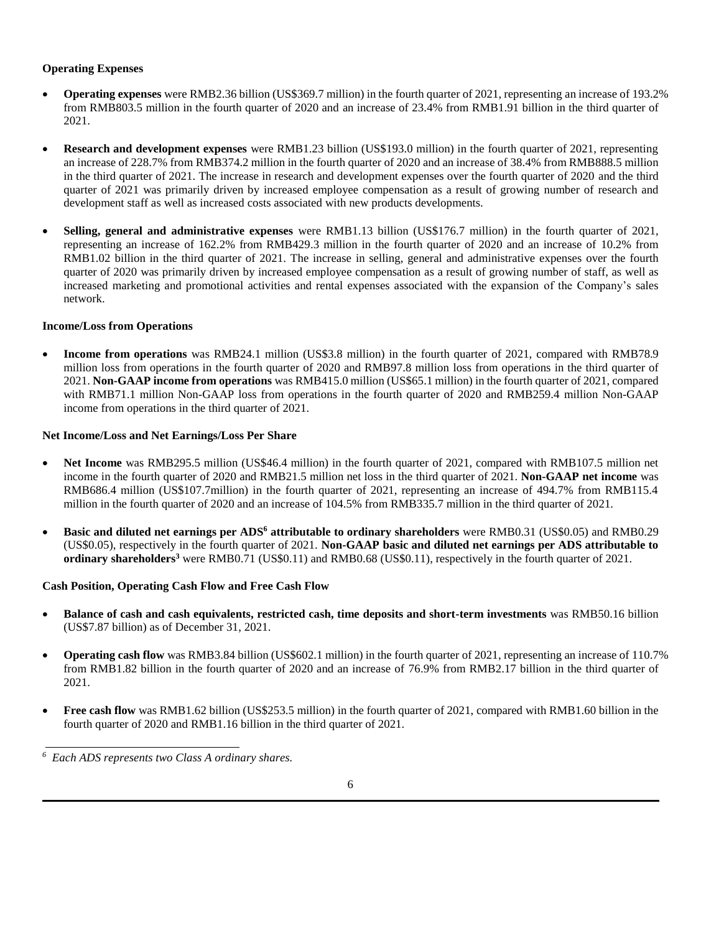# **Operating Expenses**

- **Operating expenses** were RMB2.36 billion (US\$369.7 million) in the fourth quarter of 2021, representing an increase of 193.2% from RMB803.5 million in the fourth quarter of 2020 and an increase of 23.4% from RMB1.91 billion in the third quarter of 2021.
- **Research and development expenses** were RMB1.23 billion (US\$193.0 million) in the fourth quarter of 2021, representing an increase of 228.7% from RMB374.2 million in the fourth quarter of 2020 and an increase of 38.4% from RMB888.5 million in the third quarter of 2021. The increase in research and development expenses over the fourth quarter of 2020 and the third quarter of 2021 was primarily driven by increased employee compensation as a result of growing number of research and development staff as well as increased costs associated with new products developments.
- **Selling, general and administrative expenses** were RMB1.13 billion (US\$176.7 million) in the fourth quarter of 2021, representing an increase of 162.2% from RMB429.3 million in the fourth quarter of 2020 and an increase of 10.2% from RMB1.02 billion in the third quarter of 2021. The increase in selling, general and administrative expenses over the fourth quarter of 2020 was primarily driven by increased employee compensation as a result of growing number of staff, as well as increased marketing and promotional activities and rental expenses associated with the expansion of the Company's sales network.

## **Income/Loss from Operations**

• **Income from operations** was RMB24.1 million (US\$3.8 million) in the fourth quarter of 2021, compared with RMB78.9 million loss from operations in the fourth quarter of 2020 and RMB97.8 million loss from operations in the third quarter of 2021. **Non-GAAP income from operations** was RMB415.0 million (US\$65.1 million) in the fourth quarter of 2021, compared with RMB71.1 million Non-GAAP loss from operations in the fourth quarter of 2020 and RMB259.4 million Non-GAAP income from operations in the third quarter of 2021.

### **Net Income/Loss and Net Earnings/Loss Per Share**

- **Net Income** was RMB295.5 million (US\$46.4 million) in the fourth quarter of 2021, compared with RMB107.5 million net income in the fourth quarter of 2020 and RMB21.5 million net loss in the third quarter of 2021. **Non-GAAP net income** was RMB686.4 million (US\$107.7million) in the fourth quarter of 2021, representing an increase of 494.7% from RMB115.4 million in the fourth quarter of 2020 and an increase of 104.5% from RMB335.7 million in the third quarter of 2021.
- **Basic and diluted net earnings per ADS<sup>6</sup> attributable to ordinary shareholders** were RMB0.31 (US\$0.05) and RMB0.29 (US\$0.05), respectively in the fourth quarter of 2021. **Non-GAAP basic and diluted net earnings per ADS attributable to ordinary shareholders<sup>3</sup>** were RMB0.71 (US\$0.11) and RMB0.68 (US\$0.11), respectively in the fourth quarter of 2021.

## **Cash Position, Operating Cash Flow and Free Cash Flow**

- **Balance of cash and cash equivalents, restricted cash, time deposits and short-term investments** was RMB50.16 billion (US\$7.87 billion) as of December 31, 2021.
- **Operating cash flow** was RMB3.84 billion (US\$602.1 million) in the fourth quarter of 2021, representing an increase of 110.7% from RMB1.82 billion in the fourth quarter of 2020 and an increase of 76.9% from RMB2.17 billion in the third quarter of 2021.
- **Free cash flow** was RMB1.62 billion (US\$253.5 million) in the fourth quarter of 2021, compared with RMB1.60 billion in the fourth quarter of 2020 and RMB1.16 billion in the third quarter of 2021.

*<sup>6</sup> Each ADS represents two Class A ordinary shares.*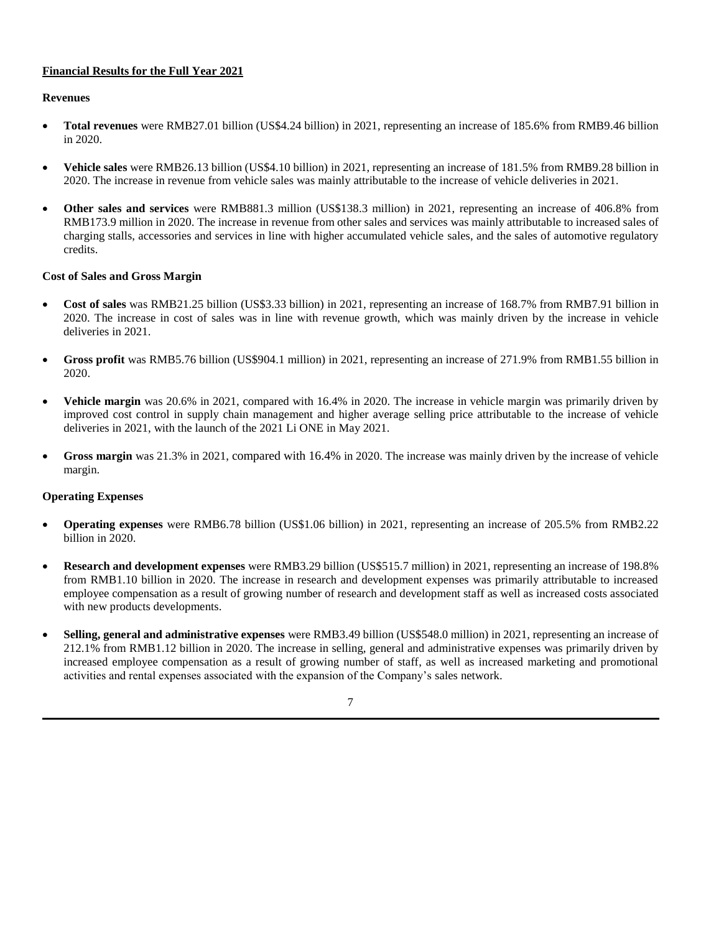## **Financial Results for the Full Year 2021**

### **Revenues**

- **Total revenues** were RMB27.01 billion (US\$4.24 billion) in 2021, representing an increase of 185.6% from RMB9.46 billion in 2020.
- **Vehicle sales** were RMB26.13 billion (US\$4.10 billion) in 2021, representing an increase of 181.5% from RMB9.28 billion in 2020. The increase in revenue from vehicle sales was mainly attributable to the increase of vehicle deliveries in 2021.
- **Other sales and services** were RMB881.3 million (US\$138.3 million) in 2021, representing an increase of 406.8% from RMB173.9 million in 2020. The increase in revenue from other sales and services was mainly attributable to increased sales of charging stalls, accessories and services in line with higher accumulated vehicle sales, and the sales of automotive regulatory credits.

### **Cost of Sales and Gross Margin**

- **Cost of sales** was RMB21.25 billion (US\$3.33 billion) in 2021, representing an increase of 168.7% from RMB7.91 billion in 2020. The increase in cost of sales was in line with revenue growth, which was mainly driven by the increase in vehicle deliveries in 2021.
- **Gross profit** was RMB5.76 billion (US\$904.1 million) in 2021, representing an increase of 271.9% from RMB1.55 billion in 2020.
- **Vehicle margin** was 20.6% in 2021, compared with 16.4% in 2020. The increase in vehicle margin was primarily driven by improved cost control in supply chain management and higher average selling price attributable to the increase of vehicle deliveries in 2021, with the launch of the 2021 Li ONE in May 2021.
- **Gross margin** was 21.3% in 2021, compared with 16.4% in 2020. The increase was mainly driven by the increase of vehicle margin.

#### **Operating Expenses**

- **Operating expenses** were RMB6.78 billion (US\$1.06 billion) in 2021, representing an increase of 205.5% from RMB2.22 billion in 2020.
- **Research and development expenses** were RMB3.29 billion (US\$515.7 million) in 2021, representing an increase of 198.8% from RMB1.10 billion in 2020. The increase in research and development expenses was primarily attributable to increased employee compensation as a result of growing number of research and development staff as well as increased costs associated with new products developments.
- **Selling, general and administrative expenses** were RMB3.49 billion (US\$548.0 million) in 2021, representing an increase of 212.1% from RMB1.12 billion in 2020. The increase in selling, general and administrative expenses was primarily driven by increased employee compensation as a result of growing number of staff, as well as increased marketing and promotional activities and rental expenses associated with the expansion of the Company's sales network.

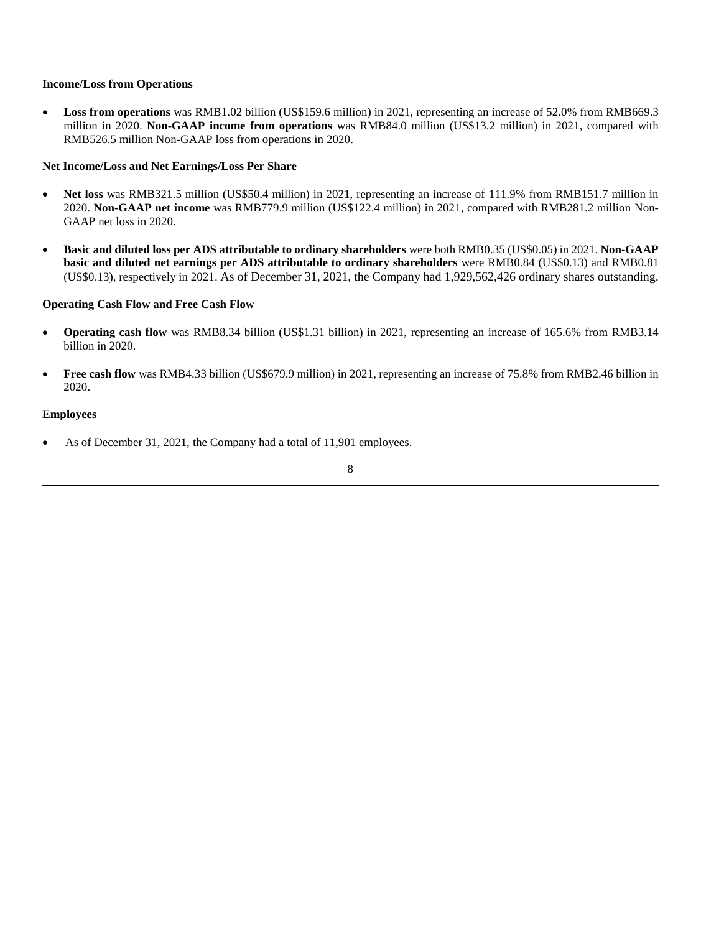### **Income/Loss from Operations**

• Loss from operations was RMB1.02 billion (US\$159.6 million) in 2021, representing an increase of 52.0% from RMB669.3 million in 2020. **Non-GAAP income from operations** was RMB84.0 million (US\$13.2 million) in 2021, compared with RMB526.5 million Non-GAAP loss from operations in 2020.

## **Net Income/Loss and Net Earnings/Loss Per Share**

- Net loss was RMB321.5 million (US\$50.4 million) in 2021, representing an increase of 111.9% from RMB151.7 million in 2020. **Non-GAAP net income** was RMB779.9 million (US\$122.4 million) in 2021, compared with RMB281.2 million Non-GAAP net loss in 2020.
- **Basic and diluted loss per ADS attributable to ordinary shareholders** were both RMB0.35 (US\$0.05) in 2021. **Non-GAAP basic and diluted net earnings per ADS attributable to ordinary shareholders** were RMB0.84 (US\$0.13) and RMB0.81 (US\$0.13), respectively in 2021. As of December 31, 2021, the Company had 1,929,562,426 ordinary shares outstanding.

# **Operating Cash Flow and Free Cash Flow**

- **Operating cash flow** was RMB8.34 billion (US\$1.31 billion) in 2021, representing an increase of 165.6% from RMB3.14 billion in 2020.
- **Free cash flow** was RMB4.33 billion (US\$679.9 million) in 2021, representing an increase of 75.8% from RMB2.46 billion in 2020.

### **Employees**

As of December 31, 2021, the Company had a total of 11,901 employees.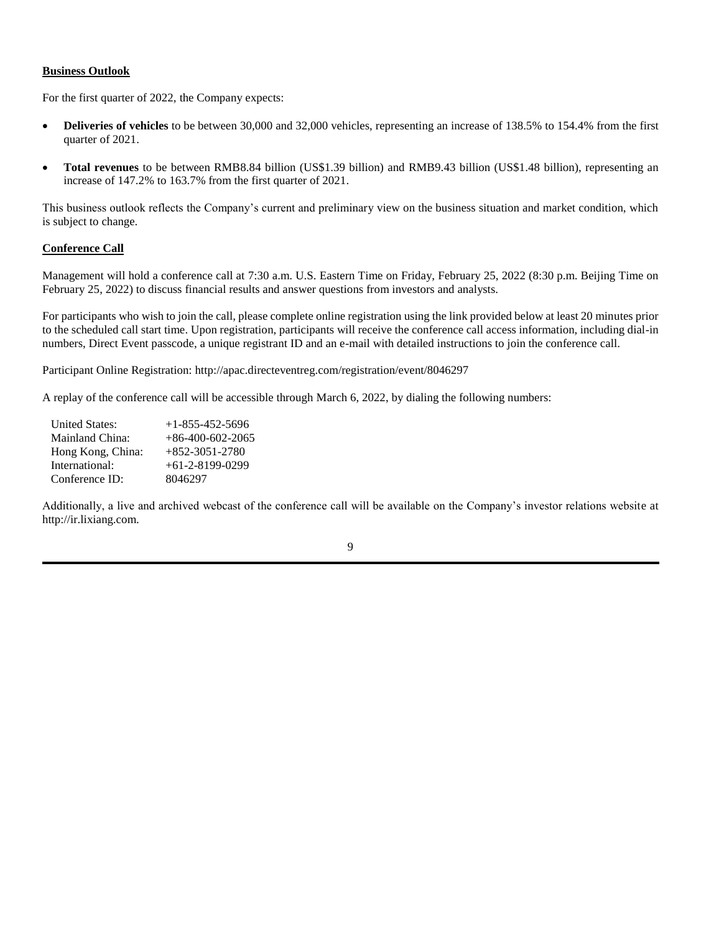### **Business Outlook**

For the first quarter of 2022, the Company expects:

- **Deliveries of vehicles** to be between 30,000 and 32,000 vehicles, representing an increase of 138.5% to 154.4% from the first quarter of 2021.
- **Total revenues** to be between RMB8.84 billion (US\$1.39 billion) and RMB9.43 billion (US\$1.48 billion), representing an increase of 147.2% to 163.7% from the first quarter of 2021.

This business outlook reflects the Company's current and preliminary view on the business situation and market condition, which is subject to change.

### **Conference Call**

Management will hold a conference call at 7:30 a.m. U.S. Eastern Time on Friday, February 25, 2022 (8:30 p.m. Beijing Time on February 25, 2022) to discuss financial results and answer questions from investors and analysts.

For participants who wish to join the call, please complete online registration using the link provided below at least 20 minutes prior to the scheduled call start time. Upon registration, participants will receive the conference call access information, including dial-in numbers, Direct Event passcode, a unique registrant ID and an e-mail with detailed instructions to join the conference call.

Participant Online Registration: http://apac.directeventreg.com/registration/event/8046297

A replay of the conference call will be accessible through March 6, 2022, by dialing the following numbers:

| <b>United States:</b> | $+1 - 855 - 452 - 5696$ |
|-----------------------|-------------------------|
| Mainland China:       | $+86-400-602-2065$      |
| Hong Kong, China:     | $+852-3051-2780$        |
| International:        | $+61-2-8199-0299$       |
| Conference ID:        | 8046297                 |

Additionally, a live and archived webcast of the conference call will be available on the Company's investor relations website at http://ir.lixiang.com.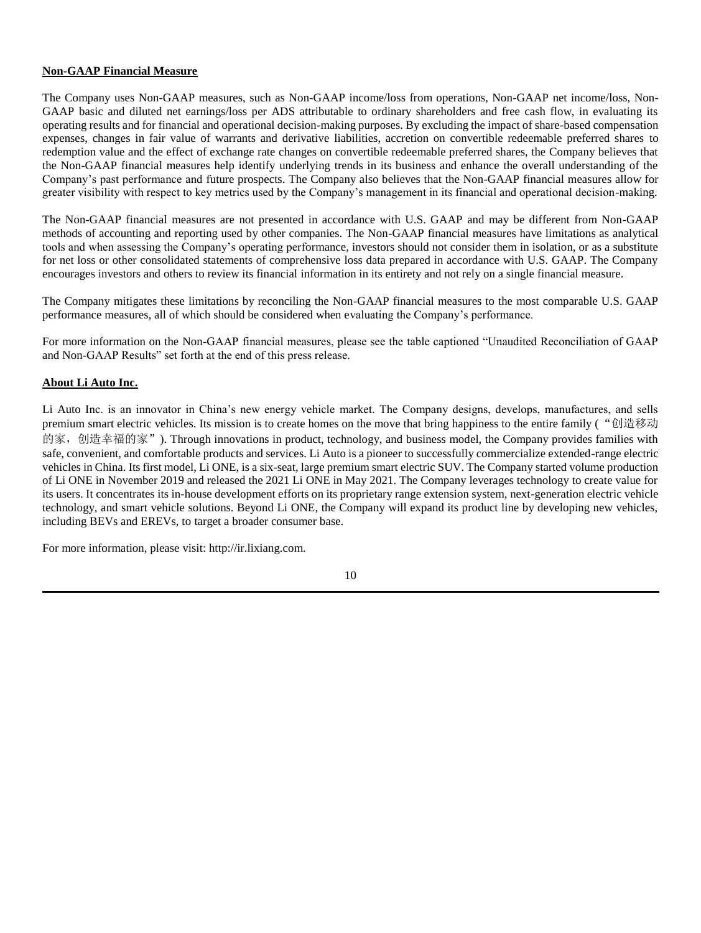### **Non-GAAP Financial Measure**

The Company uses Non-GAAP measures, such as Non-GAAP income/loss from operations, Non-GAAP net income/loss, Non-GAAP basic and diluted net earnings/loss per ADS attributable to ordinary shareholders and free cash flow, in evaluating its operating results and for financial and operational decision-making purposes. By excluding the impact of share-based compensation expenses, changes in fair value of warrants and derivative liabilities, accretion on convertible redeemable preferred shares to redemption value and the effect of exchange rate changes on convertible redeemable preferred shares, the Company believes that the Non-GAAP financial measures help identify underlying trends in its business and enhance the overall understanding of the Company's past performance and future prospects. The Company also believes that the Non-GAAP financial measures allow for greater visibility with respect to key metrics used by the Company's management in its financial and operational decision-making.

The Non-GAAP financial measures are not presented in accordance with U.S. GAAP and may be different from Non-GAAP methods of accounting and reporting used by other companies. The Non-GAAP financial measures have limitations as analytical tools and when assessing the Company's operating performance, investors should not consider them in isolation, or as a substitute for net loss or other consolidated statements of comprehensive loss data prepared in accordance with U.S. GAAP. The Company encourages investors and others to review its financial information in its entirety and not rely on a single financial measure.

The Company mitigates these limitations by reconciling the Non-GAAP financial measures to the most comparable U.S. GAAP performance measures, all of which should be considered when evaluating the Company's performance.

For more information on the Non-GAAP financial measures, please see the table captioned "Unaudited Reconciliation of GAAP and Non-GAAP Results" set forth at the end of this press release.

## **About Li Auto Inc.**

Li Auto Inc. is an innovator in China's new energy vehicle market. The Company designs, develops, manufactures, and sells premium smart electric vehicles. Its mission is to create homes on the move that bring happiness to the entire family ("创造移动 的家,创造幸福的家"). Through innovations in product, technology, and business model, the Company provides families with safe, convenient, and comfortable products and services. Li Auto is a pioneer to successfully commercialize extended-range electric vehicles in China. Its first model, Li ONE, is a six-seat, large premium smart electric SUV. The Company started volume production of Li ONE in November 2019 and released the 2021 Li ONE in May 2021. The Company leverages technology to create value for its users. It concentrates its in-house development efforts on its proprietary range extension system, next-generation electric vehicle technology, and smart vehicle solutions. Beyond Li ONE, the Company will expand its product line by developing new vehicles, including BEVs and EREVs, to target a broader consumer base.

For more information, please visit: http://ir.lixiang.com.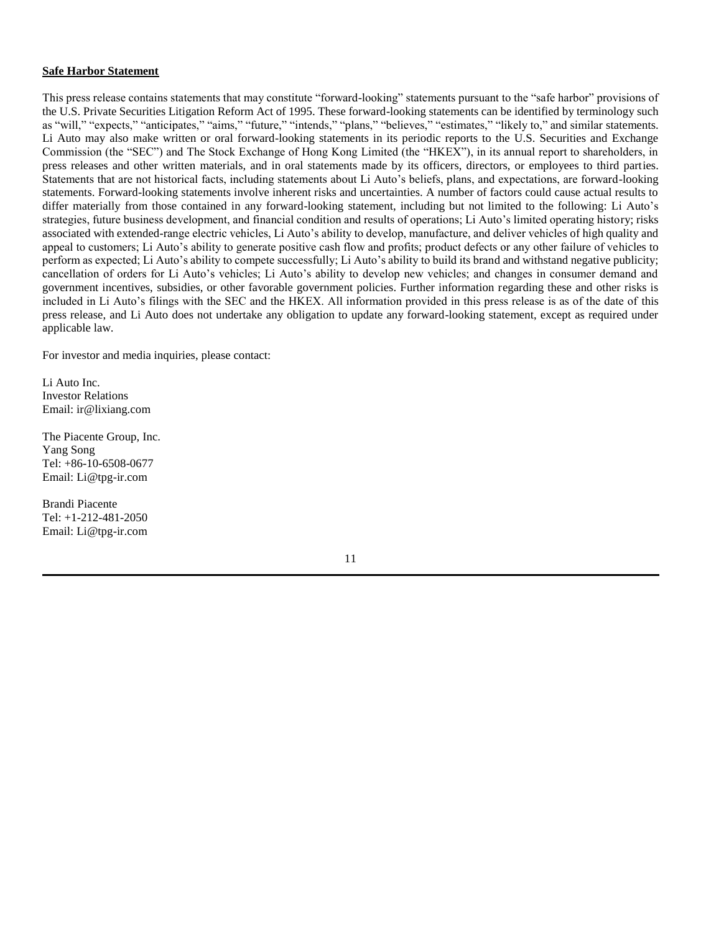#### **Safe Harbor Statement**

This press release contains statements that may constitute "forward-looking" statements pursuant to the "safe harbor" provisions of the U.S. Private Securities Litigation Reform Act of 1995. These forward-looking statements can be identified by terminology such as "will," "expects," "anticipates," "aims," "future," "intends," "plans," "believes," "estimates," "likely to," and similar statements. Li Auto may also make written or oral forward-looking statements in its periodic reports to the U.S. Securities and Exchange Commission (the "SEC") and The Stock Exchange of Hong Kong Limited (the "HKEX"), in its annual report to shareholders, in press releases and other written materials, and in oral statements made by its officers, directors, or employees to third parties. Statements that are not historical facts, including statements about Li Auto's beliefs, plans, and expectations, are forward-looking statements. Forward-looking statements involve inherent risks and uncertainties. A number of factors could cause actual results to differ materially from those contained in any forward-looking statement, including but not limited to the following: Li Auto's strategies, future business development, and financial condition and results of operations; Li Auto's limited operating history; risks associated with extended-range electric vehicles, Li Auto's ability to develop, manufacture, and deliver vehicles of high quality and appeal to customers; Li Auto's ability to generate positive cash flow and profits; product defects or any other failure of vehicles to perform as expected; Li Auto's ability to compete successfully; Li Auto's ability to build its brand and withstand negative publicity; cancellation of orders for Li Auto's vehicles; Li Auto's ability to develop new vehicles; and changes in consumer demand and government incentives, subsidies, or other favorable government policies. Further information regarding these and other risks is included in Li Auto's filings with the SEC and the HKEX. All information provided in this press release is as of the date of this press release, and Li Auto does not undertake any obligation to update any forward-looking statement, except as required under applicable law.

For investor and media inquiries, please contact:

Li Auto Inc. Investor Relations Email: ir@lixiang.com

The Piacente Group, Inc. Yang Song Tel: +86-10-6508-0677 Email: Li@tpg-ir.com

Brandi Piacente Tel: +1-212-481-2050 Email: Li@tpg-ir.com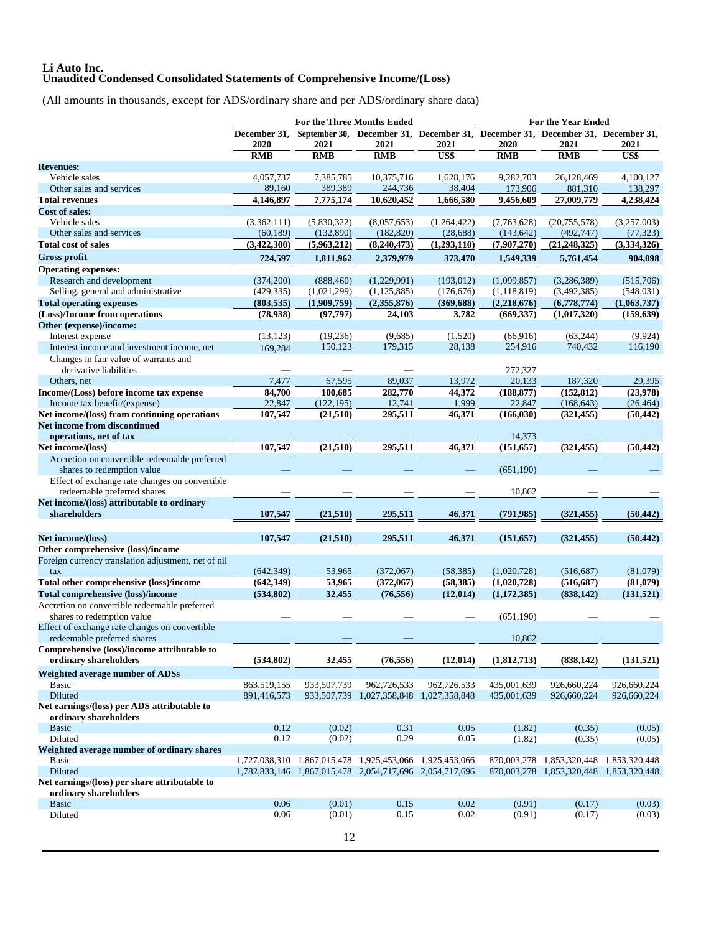#### **Li Auto Inc. Unaudited Condensed Consolidated Statements of Comprehensive Income/(Loss)**

(All amounts in thousands, except for ADS/ordinary share and per ADS/ordinary share data)

|                                                                               | For the Three Months Ended |                                                         |                       |                     | <b>For the Year Ended</b> |                                                                                                     |                      |
|-------------------------------------------------------------------------------|----------------------------|---------------------------------------------------------|-----------------------|---------------------|---------------------------|-----------------------------------------------------------------------------------------------------|----------------------|
|                                                                               | 2020                       | 2021                                                    | 2021                  | 2021                | 2020                      | December 31, September 30, December 31, December 31, December 31, December 31, December 31,<br>2021 | 2021                 |
|                                                                               | <b>RMB</b>                 | <b>RMB</b>                                              | <b>RMB</b>            | US\$                | <b>RMB</b>                | <b>RMB</b>                                                                                          | US\$                 |
| <b>Revenues:</b>                                                              |                            |                                                         |                       |                     |                           |                                                                                                     |                      |
| Vehicle sales                                                                 | 4,057,737<br>89,160        | 7,385,785                                               | 10,375,716            | 1,628,176           | 9,282,703                 | 26,128,469                                                                                          | 4,100,127<br>138,297 |
| Other sales and services<br><b>Total revenues</b>                             | 4,146,897                  | 389,389<br>7,775,174                                    | 244,736<br>10,620,452 | 38,404<br>1,666,580 | 173,906<br>9,456,609      | 881,310<br>27,009,779                                                                               | 4,238,424            |
| <b>Cost of sales:</b>                                                         |                            |                                                         |                       |                     |                           |                                                                                                     |                      |
| Vehicle sales                                                                 | (3,362,111)                | (5,830,322)                                             | (8,057,653)           | (1,264,422)         | (7,763,628)               | (20, 755, 578)                                                                                      | (3,257,003)          |
| Other sales and services                                                      | (60, 189)                  | (132,890)                                               | (182, 820)            | (28, 688)           | (143, 642)                | (492, 747)                                                                                          | (77, 323)            |
| <b>Total cost of sales</b>                                                    | (3,422,300)                | (5,963,212)                                             | (8,240,473)           | (1,293,110)         | (7,907,270)               | (21, 248, 325)                                                                                      | (3,334,326)          |
| <b>Gross profit</b>                                                           | 724,597                    | 1,811,962                                               | 2,379,979             | 373,470             | 1,549,339                 | 5,761,454                                                                                           | 904,098              |
| <b>Operating expenses:</b>                                                    |                            |                                                         |                       |                     |                           |                                                                                                     |                      |
| Research and development                                                      | (374,200)                  | (888, 460)                                              | (1,229,991)           | (193, 012)          | (1,099,857)               | (3, 286, 389)                                                                                       | (515,706)            |
| Selling, general and administrative                                           | (429, 335)                 | (1,021,299)                                             | (1, 125, 885)         | (176, 676)          | (1, 118, 819)             | (3,492,385)                                                                                         | (548, 031)           |
| <b>Total operating expenses</b>                                               | (803, 535)                 | (1,909,759)                                             | (2,355,876)           | (369, 688)          | (2,218,676)               | (6,778,774)                                                                                         | (1,063,737)          |
| (Loss)/Income from operations                                                 | (78,938)                   | (97, 797)                                               | 24,103                | 3,782               | (669, 337)                | (1,017,320)                                                                                         | (159, 639)           |
| Other (expense)/income:                                                       |                            |                                                         |                       |                     |                           |                                                                                                     |                      |
| Interest expense                                                              | (13, 123)                  | (19,236)                                                | (9,685)               | (1,520)             | (66,916)                  | (63,244)                                                                                            | (9, 924)             |
| Interest income and investment income, net                                    | 169,284                    | 150,123                                                 | 179,315               | 28,138              | 254,916                   | 740,432                                                                                             | 116,190              |
| Changes in fair value of warrants and                                         |                            |                                                         |                       |                     |                           |                                                                                                     |                      |
| derivative liabilities                                                        |                            |                                                         |                       |                     | 272,327                   |                                                                                                     |                      |
| Others, net                                                                   | 7,477                      | 67,595                                                  | 89,037                | 13,972              | 20,133                    | 187,320                                                                                             | 29,395               |
| Income/(Loss) before income tax expense                                       | 84,700                     | 100,685                                                 | 282,770               | 44,372              | (188, 877)                | (152, 812)                                                                                          | (23,978)             |
| Income tax benefit/(expense)                                                  | 22,847                     | (122, 195)                                              | 12,741                | 1,999               | 22,847                    | (168, 643)                                                                                          | (26, 464)            |
| Net income/(loss) from continuing operations<br>Net income from discontinued  | 107,547                    | (21, 510)                                               | 295,511               | 46,371              | (166, 030)                | (321, 455)                                                                                          | (50, 442)            |
| operations, net of tax                                                        |                            |                                                         |                       |                     | 14,373                    |                                                                                                     |                      |
| Net income/(loss)                                                             | 107,547                    | (21, 510)                                               | 295,511               | 46,371              | (151, 657)                | (321, 455)                                                                                          | (50, 442)            |
| Accretion on convertible redeemable preferred                                 |                            |                                                         |                       |                     |                           |                                                                                                     |                      |
| shares to redemption value<br>Effect of exchange rate changes on convertible  |                            |                                                         |                       |                     | (651, 190)                |                                                                                                     |                      |
| redeemable preferred shares                                                   |                            |                                                         |                       |                     | 10,862                    |                                                                                                     |                      |
| Net income/(loss) attributable to ordinary                                    |                            |                                                         |                       |                     |                           |                                                                                                     |                      |
| shareholders                                                                  | 107,547                    | (21, 510)                                               | 295,511               | 46,371              | (791, 985)                | (321, 455)                                                                                          | (50, 442)            |
|                                                                               |                            |                                                         |                       |                     |                           |                                                                                                     |                      |
| Net income/(loss)                                                             | 107,547                    | (21,510)                                                | 295,511               | 46,371              | (151, 657)                | (321, 455)                                                                                          | (50, 442)            |
| Other comprehensive (loss)/income                                             |                            |                                                         |                       |                     |                           |                                                                                                     |                      |
| Foreign currency translation adjustment, net of nil                           |                            |                                                         |                       |                     |                           |                                                                                                     |                      |
| tax                                                                           | (642, 349)                 | 53,965                                                  | (372,067)             | (58, 385)           | (1,020,728)               | (516, 687)                                                                                          | (81,079)             |
| Total other comprehensive (loss)/income                                       | (642, 349)                 | 53,965                                                  | (372,067)             | (58, 385)           | (1,020,728)               | (516, 687)                                                                                          | (81,079)             |
| <b>Total comprehensive (loss)/income</b>                                      | (534, 802)                 | 32,455                                                  | (76, 556)             | (12, 014)           | (1,172,385)               | (838, 142)                                                                                          | (131, 521)           |
| Accretion on convertible redeemable preferred                                 |                            |                                                         |                       |                     |                           |                                                                                                     |                      |
| shares to redemption value                                                    |                            |                                                         |                       |                     | (651,190)                 |                                                                                                     |                      |
| Effect of exchange rate changes on convertible<br>redeemable preferred shares |                            |                                                         |                       |                     | 10,862                    |                                                                                                     |                      |
| Comprehensive (loss)/income attributable to                                   |                            |                                                         |                       |                     |                           |                                                                                                     |                      |
| ordinary shareholders                                                         | (534, 802)                 | 32,455                                                  | (76, 556)             | (12, 014)           | (1,812,713)               | (838, 142)                                                                                          | (131, 521)           |
| <b>Weighted average number of ADSs</b>                                        |                            |                                                         |                       |                     |                           |                                                                                                     |                      |
| Basic                                                                         | 863,519,155                | 933,507,739                                             | 962,726,533           | 962,726,533         | 435,001,639               | 926,660,224                                                                                         | 926,660,224          |
| Diluted                                                                       | 891,416,573                | 933,507,739                                             | 1,027,358,848         | 1,027,358,848       | 435,001,639               | 926,660,224                                                                                         | 926,660,224          |
| Net earnings/(loss) per ADS attributable to                                   |                            |                                                         |                       |                     |                           |                                                                                                     |                      |
| ordinary shareholders                                                         |                            |                                                         |                       |                     |                           |                                                                                                     |                      |
| <b>Basic</b>                                                                  | 0.12                       | (0.02)                                                  | 0.31                  | 0.05                | (1.82)                    | (0.35)                                                                                              | (0.05)               |
| Diluted                                                                       | 0.12                       | (0.02)                                                  | 0.29                  | 0.05                | (1.82)                    | (0.35)                                                                                              | (0.05)               |
| Weighted average number of ordinary shares                                    |                            |                                                         |                       |                     |                           |                                                                                                     |                      |
| Basic                                                                         |                            | 1,727,038,310 1,867,015,478 1,925,453,066 1,925,453,066 |                       |                     |                           | 870,003,278 1,853,320,448 1,853,320,448                                                             |                      |
| Diluted                                                                       |                            | 1,782,833,146 1,867,015,478 2,054,717,696 2,054,717,696 |                       |                     | 870,003,278               | 1,853,320,448 1,853,320,448                                                                         |                      |
| Net earnings/(loss) per share attributable to<br>ordinary shareholders        |                            |                                                         |                       |                     |                           |                                                                                                     |                      |
| <b>Basic</b>                                                                  | 0.06                       | (0.01)                                                  | 0.15                  | 0.02                | (0.91)                    | (0.17)                                                                                              | (0.03)               |
| Diluted                                                                       | 0.06                       | (0.01)                                                  | 0.15                  | 0.02                | (0.91)                    | (0.17)                                                                                              | (0.03)               |
|                                                                               |                            |                                                         |                       |                     |                           |                                                                                                     |                      |
|                                                                               |                            | 12                                                      |                       |                     |                           |                                                                                                     |                      |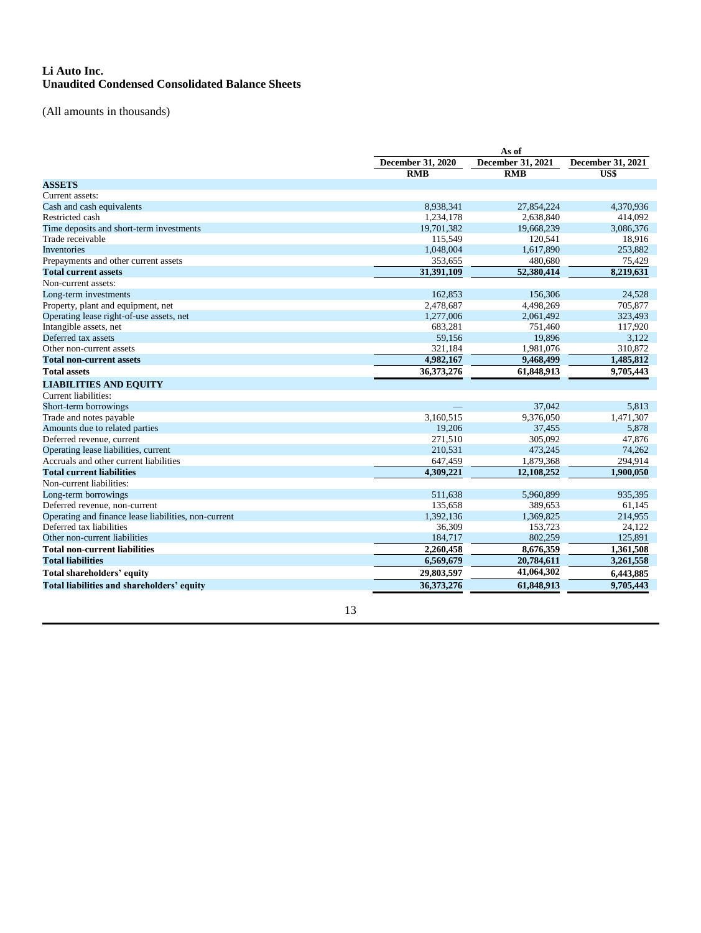# **Li Auto Inc. Unaudited Condensed Consolidated Balance Sheets**

(All amounts in thousands)

|                                                      |                   | As of                    |                          |
|------------------------------------------------------|-------------------|--------------------------|--------------------------|
|                                                      | December 31, 2020 | <b>December 31, 2021</b> | <b>December 31, 2021</b> |
|                                                      | <b>RMB</b>        | <b>RMB</b>               | US\$                     |
| <b>ASSETS</b>                                        |                   |                          |                          |
| Current assets:                                      |                   |                          |                          |
| Cash and cash equivalents                            | 8,938,341         | 27,854,224               | 4,370,936                |
| Restricted cash                                      | 1,234,178         | 2,638,840                | 414,092                  |
| Time deposits and short-term investments             | 19,701,382        | 19,668,239               | 3,086,376                |
| Trade receivable                                     | 115,549           | 120,541                  | 18,916                   |
| Inventories                                          | 1,048,004         | 1,617,890                | 253,882                  |
| Prepayments and other current assets                 | 353,655           | 480,680                  | 75,429                   |
| <b>Total current assets</b>                          | 31,391,109        | 52,380,414               | 8,219,631                |
| Non-current assets:                                  |                   |                          |                          |
| Long-term investments                                | 162,853           | 156,306                  | 24,528                   |
| Property, plant and equipment, net                   | 2,478,687         | 4,498,269                | 705,877                  |
| Operating lease right-of-use assets, net             | 1,277,006         | 2,061,492                | 323,493                  |
| Intangible assets, net                               | 683,281           | 751,460                  | 117,920                  |
| Deferred tax assets                                  | 59,156            | 19,896                   | 3,122                    |
| Other non-current assets                             | 321,184           | 1,981,076                | 310,872                  |
| <b>Total non-current assets</b>                      | 4,982,167         | 9,468,499                | 1,485,812                |
| <b>Total assets</b>                                  | 36,373,276        | 61,848,913               | 9,705,443                |
| <b>LIABILITIES AND EQUITY</b>                        |                   |                          |                          |
| Current liabilities:                                 |                   |                          |                          |
| Short-term borrowings                                |                   | 37,042                   | 5,813                    |
| Trade and notes payable                              | 3.160.515         | 9,376,050                | 1,471,307                |
| Amounts due to related parties                       | 19.206            | 37,455                   | 5,878                    |
| Deferred revenue, current                            | 271,510           | 305,092                  | 47,876                   |
| Operating lease liabilities, current                 | 210,531           | 473,245                  | 74,262                   |
| Accruals and other current liabilities               | 647,459           | 1,879,368                | 294,914                  |
| <b>Total current liabilities</b>                     | 4,309,221         | 12,108,252               | 1,900,050                |
| Non-current liabilities:                             |                   |                          |                          |
| Long-term borrowings                                 | 511,638           | 5,960,899                | 935,395                  |
| Deferred revenue, non-current                        | 135,658           | 389,653                  | 61,145                   |
| Operating and finance lease liabilities, non-current | 1,392,136         | 1,369,825                | 214,955                  |
| Deferred tax liabilities                             | 36,309            | 153,723                  | 24,122                   |
| Other non-current liabilities                        | 184,717           | 802,259                  | 125,891                  |
| <b>Total non-current liabilities</b>                 | 2,260,458         | 8,676,359                | 1,361,508                |
| <b>Total liabilities</b>                             | 6,569,679         | 20,784,611               | 3,261,558                |
| Total shareholders' equity                           | 29,803,597        | 41,064,302               | 6,443,885                |
| Total liabilities and shareholders' equity           | 36,373,276        | 61,848,913               | 9,705,443                |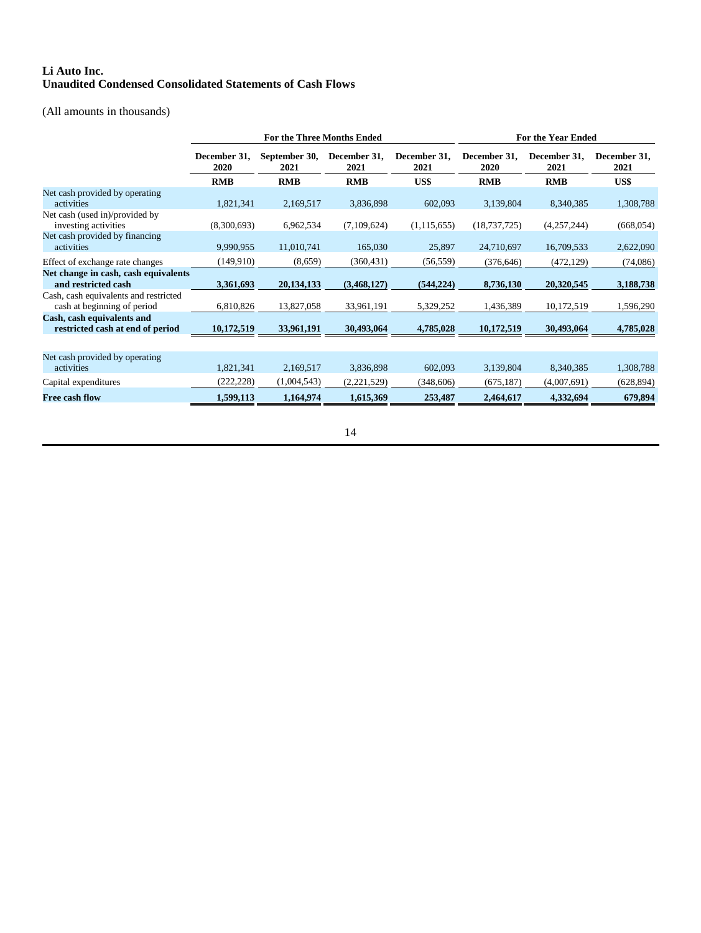# **Li Auto Inc. Unaudited Condensed Consolidated Statements of Cash Flows**

# (All amounts in thousands)

|                                                                      |                      | <b>For the Three Months Ended</b> |                      |                      | <b>For the Year Ended</b> |                      |                      |  |
|----------------------------------------------------------------------|----------------------|-----------------------------------|----------------------|----------------------|---------------------------|----------------------|----------------------|--|
|                                                                      | December 31,<br>2020 | September 30,<br>2021             | December 31,<br>2021 | December 31,<br>2021 | December 31,<br>2020      | December 31,<br>2021 | December 31,<br>2021 |  |
|                                                                      | <b>RMB</b>           | <b>RMB</b>                        | <b>RMB</b>           | US\$                 | <b>RMB</b>                | <b>RMB</b>           | US\$                 |  |
| Net cash provided by operating<br>activities                         | 1,821,341            | 2,169,517                         | 3,836,898            | 602,093              | 3,139,804                 | 8,340,385            | 1,308,788            |  |
| Net cash (used in)/provided by<br>investing activities               | (8,300,693)          | 6,962,534                         | (7,109,624)          | (1,115,655)          | (18, 737, 725)            | (4,257,244)          | (668, 054)           |  |
| Net cash provided by financing<br>activities                         | 9,990,955            | 11,010,741                        | 165,030              | 25,897               | 24,710,697                | 16,709,533           | 2,622,090            |  |
| Effect of exchange rate changes                                      | (149, 910)           | (8,659)                           | (360, 431)           | (56, 559)            | (376, 646)                | (472, 129)           | (74,086)             |  |
| Net change in cash, cash equivalents<br>and restricted cash          | 3,361,693            | 20,134,133                        | (3,468,127)          | (544, 224)           | 8,736,130                 | 20,320,545           | 3,188,738            |  |
| Cash, cash equivalents and restricted<br>cash at beginning of period | 6.810.826            | 13,827,058                        | 33,961,191           | 5,329,252            | 1,436,389                 | 10,172,519           | 1,596,290            |  |
| Cash, cash equivalents and<br>restricted cash at end of period       | 10,172,519           | 33,961,191                        | 30,493,064           | 4,785,028            | 10,172,519                | 30,493,064           | 4,785,028            |  |
|                                                                      |                      |                                   |                      |                      |                           |                      |                      |  |
| Net cash provided by operating<br>activities                         | 1,821,341            | 2,169,517                         | 3,836,898            | 602,093              | 3,139,804                 | 8,340,385            | 1,308,788            |  |
| Capital expenditures                                                 | (222, 228)           | (1,004,543)                       | (2,221,529)          | (348, 606)           | (675, 187)                | (4,007,691)          | (628, 894)           |  |
| <b>Free cash flow</b>                                                | 1,599,113            | 1,164,974                         | 1,615,369            | 253,487              | 2,464,617                 | 4,332,694            | 679,894              |  |